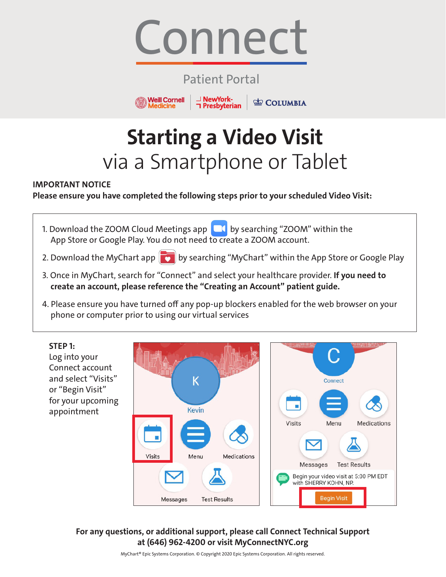

### Patient Portal

**⊥ NewYork-<br>
∩ Presbyterian** 

**COLUMBIA** 

**Weill Cornell** 

**Medicine** 

# **Starting a Video Visit** via a Smartphone or Tablet

#### **IMPORTANT NOTICE**

**Please ensure you have completed the following steps prior to your scheduled Video Visit:**

- 1. Download the ZOOM Cloud Meetings app  $\Box$  by searching "ZOOM" within the App Store or Google Play. You do not need to create a ZOOM account.
- 2. Download the MyChart app  $\boxed{\bullet}$  by searching "MyChart" within the App Store or Google Play
- 3. Once in MyChart, search for "Connect" and select your healthcare provider. **If you need to create an account, please reference the "Creating an Account" patient guide.**
- 4. Please ensure you have turned off any pop-up blockers enabled for the web browser on your phone or computer prior to using our virtual services

**STEP 1:** Log into your Connect account and select "Visits" K Connect or "Begin Visit" for your upcoming **Kevin** appointment Visits Menu **Medications** Ì. Visits Menu Medications Messages **Test Results** Begin your video visit at 5:00 PM EDT with SHERRY KOHN, NP. **Begin Visit Test Results** Messages

**For any questions, or additional support, please call Connect Technical Support at (646) 962-4200 or visit MyConnectNYC.org**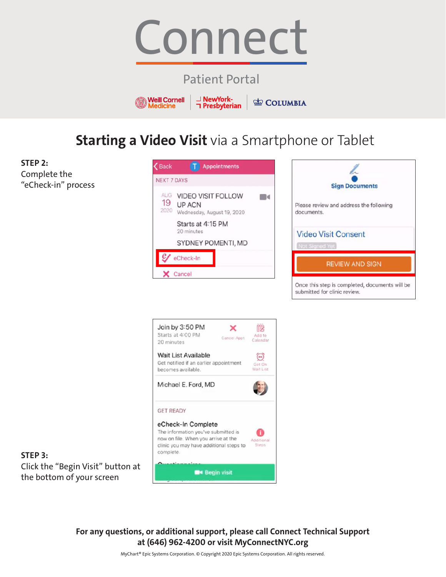

## Patient Portal



**COLUMBIA** 

# **Starting a Video Visit** via a Smartphone or Tablet

**STEP 2:** Complete the "eCheck-in" process







**STEP 3:** Click the "Begin Visit" button at the bottom of your screen

> **For any questions, or additional support, please call Connect Technical Support at (646) 962-4200 or visit MyConnectNYC.org**